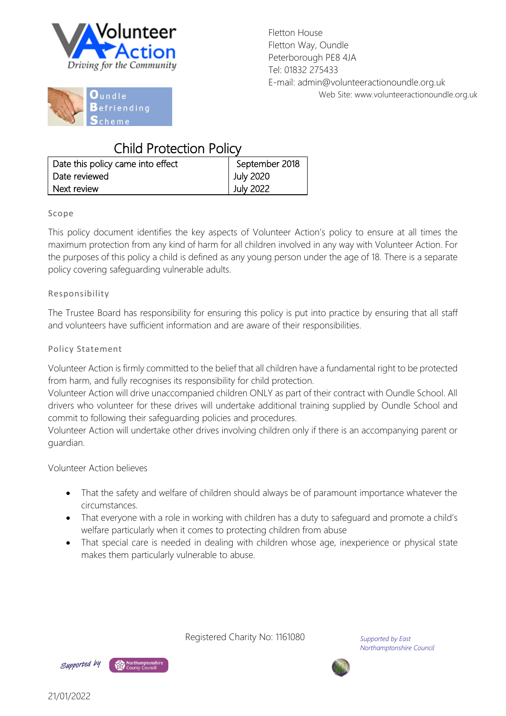

Fletton House Fletton Way, Oundle Peterborough PE8 4JA Tel: 01832 275433 E-mail: admin@volunteeractionoundle.org.uk Web Site: www.volunteeractionoundle.org.uk



## Child Protection Policy

| Date this policy came into effect | September 2018 |
|-----------------------------------|----------------|
| Date reviewed                     | July 2020      |
| Next review                       | July 2022      |

#### Scope

This policy document identifies the key aspects of Volunteer Action's policy to ensure at all times the maximum protection from any kind of harm for all children involved in any way with Volunteer Action. For the purposes of this policy a child is defined as any young person under the age of 18. There is a separate policy covering safeguarding vulnerable adults.

#### Responsibility

The Trustee Board has responsibility for ensuring this policy is put into practice by ensuring that all staff and volunteers have sufficient information and are aware of their responsibilities.

#### Policy Statement

Volunteer Action is firmly committed to the belief that all children have a fundamental right to be protected from harm, and fully recognises its responsibility for child protection.

Volunteer Action will drive unaccompanied children ONLY as part of their contract with Oundle School. All drivers who volunteer for these drives will undertake additional training supplied by Oundle School and commit to following their safeguarding policies and procedures.

Volunteer Action will undertake other drives involving children only if there is an accompanying parent or guardian.

#### Volunteer Action believes

- That the safety and welfare of children should always be of paramount importance whatever the circumstances.
- That everyone with a role in working with children has a duty to safeguard and promote a child's welfare particularly when it comes to protecting children from abuse
- That special care is needed in dealing with children whose age, inexperience or physical state makes them particularly vulnerable to abuse.

Registered Charity No: 1161080

*Supported by East Northamptonshire Council*



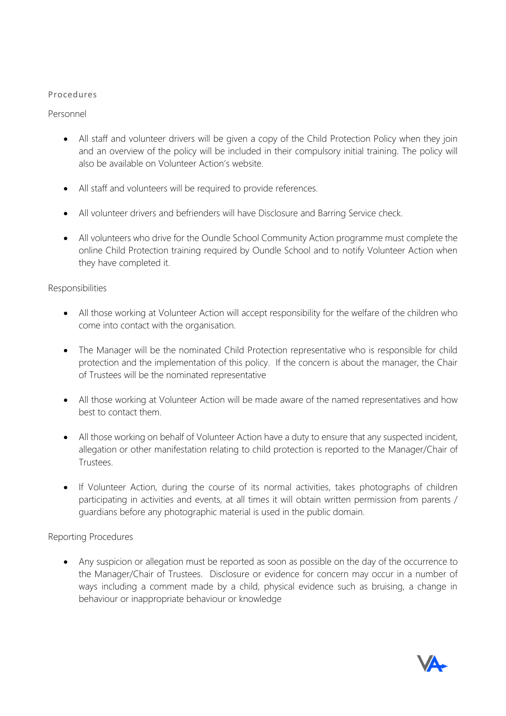#### Procedures

Personnel

- All staff and volunteer drivers will be given a copy of the Child Protection Policy when they join and an overview of the policy will be included in their compulsory initial training. The policy will also be available on Volunteer Action's website.
- All staff and volunteers will be required to provide references.
- All volunteer drivers and befrienders will have Disclosure and Barring Service check.
- All volunteers who drive for the Oundle School Community Action programme must complete the online Child Protection training required by Oundle School and to notify Volunteer Action when they have completed it.

#### Responsibilities

- All those working at Volunteer Action will accept responsibility for the welfare of the children who come into contact with the organisation.
- The Manager will be the nominated Child Protection representative who is responsible for child protection and the implementation of this policy. If the concern is about the manager, the Chair of Trustees will be the nominated representative
- All those working at Volunteer Action will be made aware of the named representatives and how best to contact them.
- All those working on behalf of Volunteer Action have a duty to ensure that any suspected incident, allegation or other manifestation relating to child protection is reported to the Manager/Chair of Trustees.
- If Volunteer Action, during the course of its normal activities, takes photographs of children participating in activities and events, at all times it will obtain written permission from parents / guardians before any photographic material is used in the public domain.

#### Reporting Procedures

 Any suspicion or allegation must be reported as soon as possible on the day of the occurrence to the Manager/Chair of Trustees. Disclosure or evidence for concern may occur in a number of ways including a comment made by a child, physical evidence such as bruising, a change in behaviour or inappropriate behaviour or knowledge

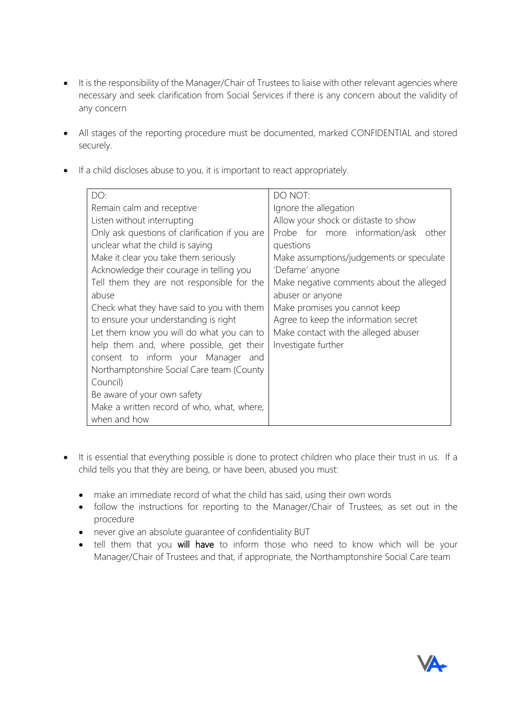- It is the responsibility of the Manager/Chair of Trustees to liaise with other relevant agencies where necessary and seek clarification from Social Services if there is any concern about the validity of any concern
- All stages of the reporting procedure must be documented, marked CONFIDENTIAL and stored securely.
- If a child discloses abuse to you, it is important to react appropriately.

| DO:                                            | DO NOT:                                  |  |
|------------------------------------------------|------------------------------------------|--|
| Remain calm and receptive                      | Ignore the allegation                    |  |
| Listen without interrupting                    | Allow your shock or distaste to show     |  |
| Only ask questions of clarification if you are | Probe for more information/ask<br>other  |  |
| unclear what the child is saying               | questions                                |  |
| Make it clear you take them seriously          | Make assumptions/judgements or speculate |  |
| Acknowledge their courage in telling you       | 'Defame' anyone                          |  |
| Tell them they are not responsible for the     | Make negative comments about the alleged |  |
| abuse                                          | abuser or anyone                         |  |
| Check what they have said to you with them     | Make promises you cannot keep            |  |
| to ensure your understanding is right          | Agree to keep the information secret     |  |
| Let them know you will do what you can to      | Make contact with the alleged abuser     |  |
| help them and, where possible, get their       | Investigate further                      |  |
| consent to inform your Manager and             |                                          |  |
| Northamptonshire Social Care team (County      |                                          |  |
| Council)                                       |                                          |  |
| Be aware of your own safety                    |                                          |  |
| Make a written record of who, what, where,     |                                          |  |
| when and how                                   |                                          |  |

- It is essential that everything possible is done to protect children who place their trust in us. If a child tells you that they are being, or have been, abused you must:
	- make an immediate record of what the child has said, using their own words
	- follow the instructions for reporting to the Manager/Chair of Trustees, as set out in the procedure
	- never give an absolute guarantee of confidentiality BUT
	- tell them that you will have to inform those who need to know which will be your Manager/Chair of Trustees and that, if appropriate, the Northamptonshire Social Care team

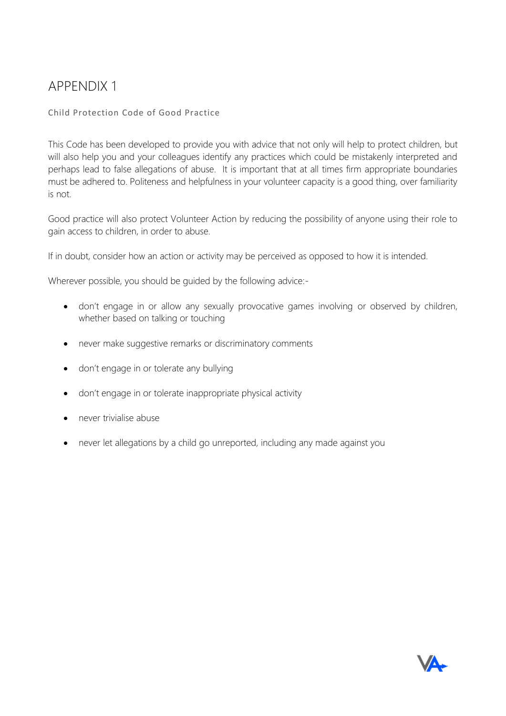# APPENDIX 1

#### Child Protection Code of Good Practice

This Code has been developed to provide you with advice that not only will help to protect children, but will also help you and your colleagues identify any practices which could be mistakenly interpreted and perhaps lead to false allegations of abuse. It is important that at all times firm appropriate boundaries must be adhered to. Politeness and helpfulness in your volunteer capacity is a good thing, over familiarity is not.

Good practice will also protect Volunteer Action by reducing the possibility of anyone using their role to gain access to children, in order to abuse.

If in doubt, consider how an action or activity may be perceived as opposed to how it is intended.

Wherever possible, you should be guided by the following advice:-

- don't engage in or allow any sexually provocative games involving or observed by children, whether based on talking or touching
- never make suggestive remarks or discriminatory comments
- don't engage in or tolerate any bullying
- don't engage in or tolerate inappropriate physical activity
- never trivialise abuse
- never let allegations by a child go unreported, including any made against you